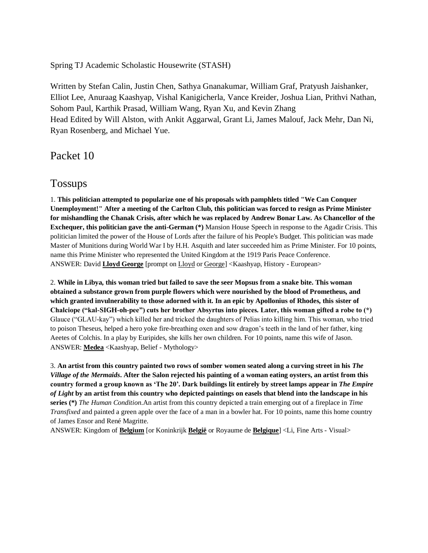Spring TJ Academic Scholastic Housewrite (STASH)

Written by Stefan Calin, Justin Chen, Sathya Gnanakumar, William Graf, Pratyush Jaishanker, Elliot Lee, Anuraag Kaashyap, Vishal Kanigicherla, Vance Kreider, Joshua Lian, Prithvi Nathan, Sohom Paul, Karthik Prasad, William Wang, Ryan Xu, and Kevin Zhang Head Edited by Will Alston, with Ankit Aggarwal, Grant Li, James Malouf, Jack Mehr, Dan Ni, Ryan Rosenberg, and Michael Yue.

Packet 10

## Tossups

1. **This politician attempted to popularize one of his proposals with pamphlets titled "We Can Conquer Unemployment!" After a meeting of the Carlton Club, this politician was forced to resign as Prime Minister for mishandling the Chanak Crisis, after which he was replaced by Andrew Bonar Law. As Chancellor of the Exchequer, this politician gave the anti-German (\*)** Mansion House Speech in response to the Agadir Crisis. This politician limited the power of the House of Lords after the failure of his People's Budget. This politician was made Master of Munitions during World War I by H.H. Asquith and later succeeded him as Prime Minister. For 10 points, name this Prime Minister who represented the United Kingdom at the 1919 Paris Peace Conference. ANSWER: David **Lloyd George** [prompt on Lloyd or George] <Kaashyap, History - European>

2. **While in Libya, this woman tried but failed to save the seer Mopsus from a snake bite. This woman obtained a substance grown from purple flowers which were nourished by the blood of Prometheus, and which granted invulnerability to those adorned with it. In an epic by Apollonius of Rhodes, this sister of Chalciope ("kal-SIGH-oh-pee") cuts her brother Absyrtus into pieces. Later, this woman gifted a robe to (\*)**  Glauce ("GLAU-kay") which killed her and tricked the daughters of Pelias into killing him. This woman, who tried to poison Theseus, helped a hero yoke fire-breathing oxen and sow dragon's teeth in the land of her father, king Aeetes of Colchis. In a play by Euripides, she kills her own children. For 10 points, name this wife of Jason. ANSWER: **Medea** <Kaashyap, Belief - Mythology>

3. **An artist from this country painted two rows of somber women seated along a curving street in his** *The Village of the Mermaids***. After the Salon rejected his painting of a woman eating oysters, an artist from this country formed a group known as 'The 20'. Dark buildings lit entirely by street lamps appear in** *The Empire of Light* **by an artist from this country who depicted paintings on easels that blend into the landscape in his series (\*)** *The Human Condition*.An artist from this country depicted a train emerging out of a fireplace in *Time Transfixed* and painted a green apple over the face of a man in a bowler hat. For 10 points, name this home country of James Ensor and René Magritte.

ANSWER: Kingdom of **Belgium** [or Koninkrijk **België** or Royaume de **Belgique**] <Li, Fine Arts - Visual>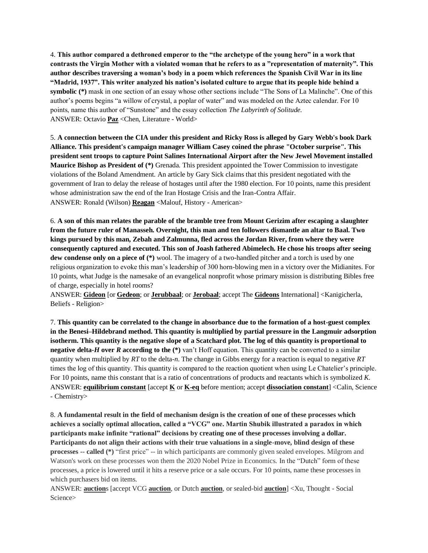4. **This author compared a dethroned emperor to the "the archetype of the young hero" in a work that contrasts the Virgin Mother with a violated woman that he refers to as a "representation of maternity". This author describes traversing a woman's body in a poem which references the Spanish Civil War in its line "Madrid, 1937". This writer analyzed his nation's isolated culture to argue that its people hide behind a symbolic (\*)** mask in one section of an essay whose other sections include "The Sons of La Malinche". One of this author's poems begins "a willow of crystal, a poplar of water" and was modeled on the Aztec calendar. For 10 points, name this author of "Sunstone" and the essay collection *The Labyrinth of Solitude.*  ANSWER: Octavio **Paz** <Chen, Literature - World>

5. **A connection between the CIA under this president and Ricky Ross is alleged by Gary Webb's book Dark Alliance. This president's campaign manager William Casey coined the phrase "October surprise". This president sent troops to capture Point Salines International Airport after the New Jewel Movement installed Maurice Bishop as President of (\*)** Grenada. This president appointed the Tower Commission to investigate violations of the Boland Amendment. An article by Gary Sick claims that this president negotiated with the government of Iran to delay the release of hostages until after the 1980 election. For 10 points, name this president whose administration saw the end of the Iran Hostage Crisis and the Iran-Contra Affair. ANSWER: Ronald (Wilson) **Reagan** <Malouf, History - American>

6. **A son of this man relates the parable of the bramble tree from Mount Gerizim after escaping a slaughter from the future ruler of Manasseh. Overnight, this man and ten followers dismantle an altar to Baal. Two kings pursued by this man, Zebah and Zalmunna, fled across the Jordan River, from where they were consequently captured and executed. This son of Joash fathered Abimelech. He chose his troops after seeing dew condense only on a piece of (\*)** wool. The imagery of a two-handled pitcher and a torch is used by one religious organization to evoke this man's leadership of 300 horn-blowing men in a victory over the Midianites. For 10 points, what Judge is the namesake of an evangelical nonprofit whose primary mission is distributing Bibles free of charge, especially in hotel rooms?

ANSWER: **Gideon** [or **Gedeon**; or **Jerubbaal**; or **Jerobaal**; accept The **Gideons** International] <Kanigicherla, Beliefs - Religion>

7. **This quantity can be correlated to the change in absorbance due to the formation of a host-guest complex in the Benesi–Hildebrand method. This quantity is multiplied by partial pressure in the Langmuir adsorption isotherm. This quantity is the negative slope of a Scatchard plot. The log of this quantity is proportional to negative delta-***H* **over** *R* **according to the (\*)** van't Hoff equation. This quantity can be converted to a similar quantity when multiplied by *RT* to the delta-*n*. The change in Gibbs energy for a reaction is equal to negative *RT* times the log of this quantity. This quantity is compared to the reaction quotient when using Le Chatelier's principle. For 10 points, name this constant that is a ratio of concentrations of products and reactants which is symbolized *K*. ANSWER: **equilibrium constant** [accept **K** or **K-eq** before mention; accept **dissociation constant**] <Calin, Science - Chemistry>

8. **A fundamental result in the field of mechanism design is the creation of one of these processes which achieves a socially optimal allocation, called a "VCG" one. Martin Shubik illustrated a paradox in which participants make infinite "rational" decisions by creating one of these processes involving a dollar. Participants do not align their actions with their true valuations in a single-move, blind design of these processes -- called (\*)** "first price" -- in which participants are commonly given sealed envelopes. Milgrom and Watson's work on these processes won them the 2020 Nobel Prize in Economics. In the "Dutch" form of these processes, a price is lowered until it hits a reserve price or a sale occurs. For 10 points, name these processes in which purchasers bid on items.

ANSWER: **auction**s [accept VCG **auction**, or Dutch **auction**, or sealed-bid **auction**] <Xu, Thought - Social Science>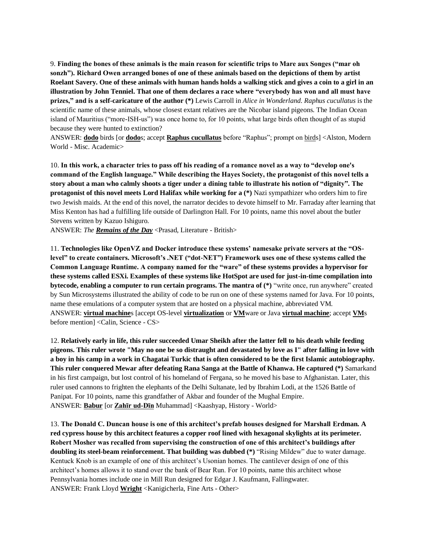9. **Finding the bones of these animals is the main reason for scientific trips to Mare aux Songes ("mar oh sonzh"). Richard Owen arranged bones of one of these animals based on the depictions of them by artist Roelant Savery. One of these animals with human hands holds a walking stick and gives a coin to a girl in an illustration by John Tenniel. That one of them declares a race where "everybody has won and all must have prizes," and is a self-caricature of the author (\*)** Lewis Carroll in *Alice in Wonderland*. *Raphus cucullatus* is the scientific name of these animals, whose closest extant relatives are the Nicobar island pigeons. The Indian Ocean island of Mauritius ("more-ISH-us") was once home to, for 10 points, what large birds often thought of as stupid because they were hunted to extinction?

ANSWER: **dodo** birds [or **dodo**s; accept **Raphus cucullatus** before "Raphus"; prompt on birds] <Alston, Modern World - Misc. Academic>

10. **In this work, a character tries to pass off his reading of a romance novel as a way to "develop one's command of the English language." While describing the Hayes Society, the protagonist of this novel tells a story about a man who calmly shoots a tiger under a dining table to illustrate his notion of "dignity". The protagonist of this novel meets Lord Halifax while working for a (\*)** Nazi sympathizer who orders him to fire two Jewish maids. At the end of this novel, the narrator decides to devote himself to Mr. Farraday after learning that Miss Kenton has had a fulfilling life outside of Darlington Hall. For 10 points, name this novel about the butler Stevens written by Kazuo Ishiguro.

ANSWER: *The Remains of the Day* <Prasad, Literature - British>

11. **Technologies like OpenVZ and Docker introduce these systems' namesake private servers at the "OSlevel" to create containers. Microsoft's .NET ("dot-NET") Framework uses one of these systems called the Common Language Runtime. A company named for the "ware" of these systems provides a hypervisor for these systems called ESXi. Examples of these systems like HotSpot are used for just-in-time compilation into bytecode, enabling a computer to run certain programs. The mantra of (\*)** "write once, run anywhere" created by Sun Microsystems illustrated the ability of code to be run on one of these systems named for Java. For 10 points, name these emulations of a computer system that are hosted on a physical machine, abbreviated VM. ANSWER: **virtual machine**s [accept OS-level **virtualization** or **VM**ware or Java **virtual machine**; accept **VM**s before mention] <Calin, Science - CS>

12. **Relatively early in life, this ruler succeeded Umar Sheikh after the latter fell to his death while feeding pigeons. This ruler wrote "May no one be so distraught and devastated by love as I" after falling in love with a boy in his camp in a work in Chagatai Turkic that is often considered to be the first Islamic autobiography. This ruler conquered Mewar after defeating Rana Sanga at the Battle of Khanwa. He captured (\*)** Samarkand in his first campaign, but lost control of his homeland of Fergana, so he moved his base to Afghanistan. Later, this ruler used cannons to frighten the elephants of the Delhi Sultanate, led by Ibrahim Lodi, at the 1526 Battle of Panipat. For 10 points, name this grandfather of Akbar and founder of the Mughal Empire. ANSWER: **Babur** [or **Zahīr ud-Dīn** Muhammad] <Kaashyap, History - World>

13. **The Donald C. Duncan house is one of this architect's prefab houses designed for Marshall Erdman. A red cypress house by this architect features a copper roof lined with hexagonal skylights at its perimeter. Robert Mosher was recalled from supervising the construction of one of this architect's buildings after doubling its steel-beam reinforcement. That building was dubbed (\*)** "Rising Mildew" due to water damage. Kentuck Knob is an example of one of this architect's Usonian homes. The cantilever design of one of this architect's homes allows it to stand over the bank of Bear Run. For 10 points, name this architect whose Pennsylvania homes include one in Mill Run designed for Edgar J. Kaufmann, Fallingwater. ANSWER: Frank Lloyd **Wright** <Kanigicherla, Fine Arts - Other>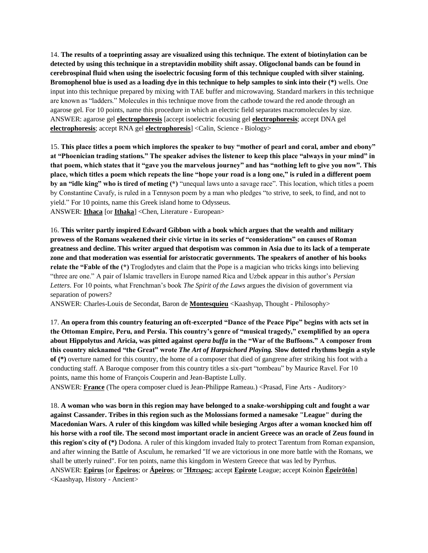14. **The results of a toeprinting assay are visualized using this technique. The extent of biotinylation can be detected by using this technique in a streptavidin mobility shift assay. Oligoclonal bands can be found in cerebrospinal fluid when using the isoelectric focusing form of this technique coupled with silver staining. Bromophenol blue is used as a loading dye in this technique to help samples to sink into their (\*)** wells. One input into this technique prepared by mixing with TAE buffer and microwaving. Standard markers in this technique are known as "ladders." Molecules in this technique move from the cathode toward the red anode through an agarose gel. For 10 points, name this procedure in which an electric field separates macromolecules by size. ANSWER: agarose gel **electrophoresis** [accept isoelectric focusing gel **electrophoresis**; accept DNA gel **electrophoresis**; accept RNA gel **electrophoresis**] <Calin, Science - Biology>

15. **This place titles a poem which implores the speaker to buy "mother of pearl and coral, amber and ebony" at "Phoenician trading stations." The speaker advises the listener to keep this place "always in your mind" in that poem, which states that it "gave you the marvelous journey" and has "nothing left to give you now". This place, which titles a poem which repeats the line "hope your road is a long one," is ruled in a different poem by an "idle king" who is tired of meting (\*)** "unequal laws unto a savage race". This location, which titles a poem by Constantine Cavafy, is ruled in a Tennyson poem by a man who pledges "to strive, to seek, to find, and not to yield." For 10 points, name this Greek island home to Odysseus. ANSWER: **Ithaca** [or **Ithaka**] <Chen, Literature - European>

16. **This writer partly inspired Edward Gibbon with a book which argues that the wealth and military prowess of the Romans weakened their civic virtue in its series of "considerations" on causes of Roman greatness and decline. This writer argued that despotism was common in Asia due to its lack of a temperate zone and that moderation was essential for aristocratic governments. The speakers of another of his books relate the "Fable of the (\*)** Troglodytes and claim that the Pope is a magician who tricks kings into believing "three are one." A pair of Islamic travellers in Europe named Rica and Uzbek appear in this author's *Persian Letters*. For 10 points, what Frenchman's book *The Spirit of the Laws* argues the division of government via separation of powers?

ANSWER: Charles-Louis de Secondat, Baron de **Montesquieu** <Kaashyap, Thought - Philosophy>

17. **An opera from this country featuring an oft-excerpted "Dance of the Peace Pipe" begins with acts set in the Ottoman Empire, Peru, and Persia. This country's genre of "musical tragedy," exemplified by an opera about Hippolytus and Aricia, was pitted against** *opera buffa* **in the "War of the Buffoons." A composer from this country nicknamed "the Great" wrote** *The Art of Harpsichord Playing.* **Slow dotted rhythms begin a style of (\*)** overture named for this country, the home of a composer that died of gangrene after striking his foot with a conducting staff. A Baroque composer from this country titles a six-part "tombeau" by Maurice Ravel. For 10 points, name this home of François Couperin and Jean-Baptiste Lully.

ANSWER: **France** (The opera composer clued is Jean-Philippe Rameau.) <Prasad, Fine Arts - Auditory>

18. **A woman who was born in this region may have belonged to a snake-worshipping cult and fought a war against Cassander. Tribes in this region such as the Molossians formed a namesake "League" during the Macedonian Wars. A ruler of this kingdom was killed while besieging Argos after a woman knocked him off his horse with a roof tile. The second most important oracle in ancient Greece was an oracle of Zeus found in this region's city of (\*)** Dodona. A ruler of this kingdom invaded Italy to protect Tarentum from Roman expansion, and after winning the Battle of Asculum, he remarked "If we are victorious in one more battle with the Romans, we shall be utterly ruined". For ten points, name this kingdom in Western Greece that was led by Pyrrhus. ANSWER: **Epirus** [or **Ḗpeiros**; or **Ápeiros**; or **Ἤπειρος**; accept **Epirote** League; accept Koinòn **Ēpeirōtôn**] <Kaashyap, History - Ancient>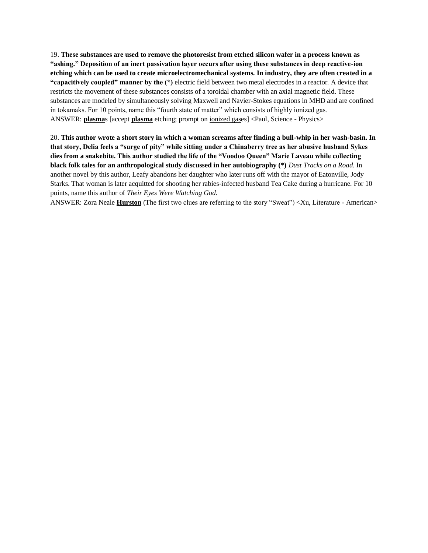19. **These substances are used to remove the photoresist from etched silicon wafer in a process known as "ashing." Deposition of an inert passivation layer occurs after using these substances in deep reactive-ion etching which can be used to create microelectromechanical systems. In industry, they are often created in a "capacitively coupled" manner by the (\*)** electric field between two metal electrodes in a reactor. A device that restricts the movement of these substances consists of a toroidal chamber with an axial magnetic field. These substances are modeled by simultaneously solving Maxwell and Navier-Stokes equations in MHD and are confined in tokamaks. For 10 points, name this "fourth state of matter" which consists of highly ionized gas. ANSWER: **plasma**s [accept **plasma** etching; prompt on ionized gases] <Paul, Science - Physics>

20. **This author wrote a short story in which a woman screams after finding a bull-whip in her wash-basin. In that story, Delia feels a "surge of pity" while sitting under a Chinaberry tree as her abusive husband Sykes dies from a snakebite. This author studied the life of the "Voodoo Queen" Marie Laveau while collecting black folk tales for an anthropological study discussed in her autobiography (\*)** *Dust Tracks on a Road*. In another novel by this author, Leafy abandons her daughter who later runs off with the mayor of Eatonville, Jody Starks. That woman is later acquitted for shooting her rabies-infected husband Tea Cake during a hurricane. For 10 points, name this author of *Their Eyes Were Watching God*.

ANSWER: Zora Neale **Hurston** (The first two clues are referring to the story "Sweat") <Xu, Literature - American>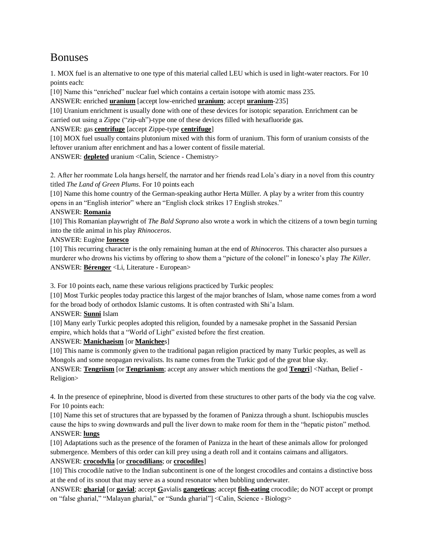# Bonuses

1. MOX fuel is an alternative to one type of this material called LEU which is used in light-water reactors. For 10 points each:

[10] Name this "enriched" nuclear fuel which contains a certain isotope with atomic mass 235.

ANSWER: enriched **uranium** [accept low-enriched **uranium**; accept **uranium**-235]

[10] Uranium enrichment is usually done with one of these devices for isotopic separation. Enrichment can be carried out using a Zippe ("zip-uh")-type one of these devices filled with hexafluoride gas.

ANSWER: gas **centrifuge** [accept Zippe-type **centrifuge**]

[10] MOX fuel usually contains plutonium mixed with this form of uranium. This form of uranium consists of the leftover uranium after enrichment and has a lower content of fissile material.

ANSWER: **depleted** uranium <Calin, Science - Chemistry>

2. After her roommate Lola hangs herself, the narrator and her friends read Lola's diary in a novel from this country titled *The Land of Green Plums*. For 10 points each

[10] Name this home country of the German-speaking author Herta Müller. A play by a writer from this country opens in an "English interior" where an "English clock strikes 17 English strokes."

#### ANSWER: **Romania**

[10] This Romanian playwright of *The Bald Soprano* also wrote a work in which the citizens of a town begin turning into the title animal in his play *Rhinoceros*.

#### ANSWER: Eugène **Ionesco**

[10] This recurring character is the only remaining human at the end of *Rhinoceros*. This character also pursues a murderer who drowns his victims by offering to show them a "picture of the colonel" in Ionesco's play *The Killer*. ANSWER: **Bérenger** <Li, Literature - European>

3. For 10 points each, name these various religions practiced by Turkic peoples:

[10] Most Turkic peoples today practice this largest of the major branches of Islam, whose name comes from a word for the broad body of orthodox Islamic customs. It is often contrasted with Shi'a Islam.

ANSWER: **Sunni** Islam

[10] Many early Turkic peoples adopted this religion, founded by a namesake prophet in the Sassanid Persian empire, which holds that a "World of Light" existed before the first creation.

#### ANSWER: **Manichaeism** [or **Manichee**s]

[10] This name is commonly given to the traditional pagan religion practiced by many Turkic peoples, as well as Mongols and some neopagan revivalists. Its name comes from the Turkic god of the great blue sky.

ANSWER: **Tengriism** [or **Tengrianism**; accept any answer which mentions the god **Tengri**] <Nathan, Belief - Religion>

4. In the presence of epinephrine, blood is diverted from these structures to other parts of the body via the cog valve. For 10 points each:

[10] Name this set of structures that are bypassed by the foramen of Panizza through a shunt. Ischiopubis muscles cause the hips to swing downwards and pull the liver down to make room for them in the "hepatic piston" method. ANSWER: **lungs**

[10] Adaptations such as the presence of the foramen of Panizza in the heart of these animals allow for prolonged submergence. Members of this order can kill prey using a death roll and it contains caimans and alligators. ANSWER: **crocodylia** [or **crocodilians**; or **crocodiles**]

[10] This crocodile native to the Indian subcontinent is one of the longest crocodiles and contains a distinctive boss at the end of its snout that may serve as a sound resonator when bubbling underwater.

ANSWER: **gharial** [or **gavial**; accept **G**avialis **gangeticus**; accept **fish-eating** crocodile; do NOT accept or prompt on "false gharial," "Malayan gharial," or "Sunda gharial"] <Calin, Science - Biology>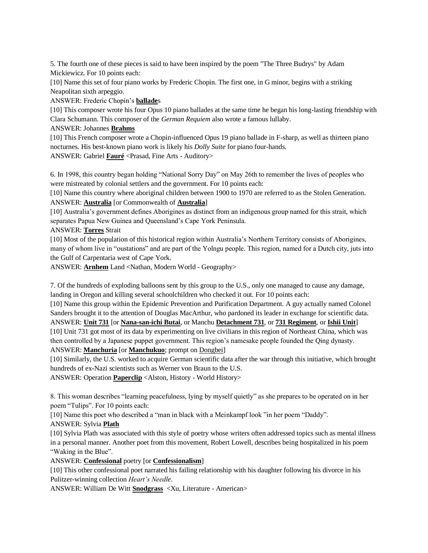5. The fourth one of these pieces is said to have been inspired by the poem "The Three Budrys" by Adam Mickiewicz. For 10 points each:

[10] Name this set of four piano works by Frederic Chopin. The first one, in G minor, begins with a striking Neapolitan sixth arpeggio.

ANSWER: Frederic Chopin's **ballade**s

[10] This composer wrote his four Opus 10 piano ballades at the same time he began his long-lasting friendship with Clara Schumann. This composer of the *German Requiem* also wrote a famous lullaby.

#### ANSWER: Johannes **Brahms**

[10] This French composer wrote a Chopin-influenced Opus 19 piano ballade in F-sharp, as well as thirteen piano nocturnes. His best-known piano work is likely his *Dolly Suite* for piano four-hands. ANSWER: Gabriel **Fauré** <Prasad, Fine Arts - Auditory>

6. In 1998, this country began holding "National Sorry Day" on May 26th to remember the lives of peoples who were mistreated by colonial settlers and the government. For 10 points each:

[10] Name this country where aboriginal children between 1900 to 1970 are referred to as the Stolen Generation. ANSWER: **Australia** [or Commonwealth of **Australia**]

[10] Australia's government defines Aborigines as distinct from an indigenous group named for this strait, which separates Papua New Guinea and Queensland's Cape York Peninsula.

ANSWER: **Torres** Strait

[10] Most of the population of this historical region within Australia's Northern Territory consists of Aborigines, many of whom live in "oustations" and are part of the Yolngu people. This region, named for a Dutch city, juts into the Gulf of Carpentaria west of Cape York.

ANSWER: **Arnhem** Land <Nathan, Modern World - Geography>

7. Of the hundreds of exploding balloons sent by this group to the U.S., only one managed to cause any damage, landing in Oregon and killing several schoolchildren who checked it out. For 10 points each:

[10] Name this group within the Epidemic Prevention and Purification Department. A guy actually named Colonel Sanders brought it to the attention of Douglas MacArthur, who pardoned its leader in exchange for scientific data. ANSWER: **Unit 731** [or **Nana-san-ichi Butai**, or Manchu **Detachment 731**, or **731 Regiment**, or **Ishii Unit**]

[10] Unit 731 got most of its data by experimenting on live civilians in this region of Northeast China, which was then controlled by a Japanese puppet government. This region's namesake people founded the Qing dynasty.

ANSWER: **Manchuria** [or **Manchukuo**; prompt on Dongbei]

[10] Similarly, the U.S. worked to acquire German scientific data after the war through this initiative, which brought hundreds of ex-Nazi scientists such as Werner von Braun to the U.S.

ANSWER: Operation **Paperclip** <Alston, History - World History>

8. This woman describes "learning peacefulness, lying by myself quietly" as she prepares to be operated on in her poem "Tulips". For 10 points each:

[10] Name this poet who described a "man in black with a Meinkampf look "in her poem "Daddy".

ANSWER: Sylvia **Plath**

[10] Sylvia Plath was associated with this style of poetry whose writers often addressed topics such as mental illness in a personal manner. Another poet from this movement, Robert Lowell, describes being hospitalized in his poem "Waking in the Blue".

ANSWER: **Confessional** poetry [or **Confessionalism**]

[10] This other confessional poet narrated his failing relationship with his daughter following his divorce in his Pulitzer-winning collection *Heart's Needle*.

ANSWER: William De Witt **Snodgrass** <Xu, Literature - American>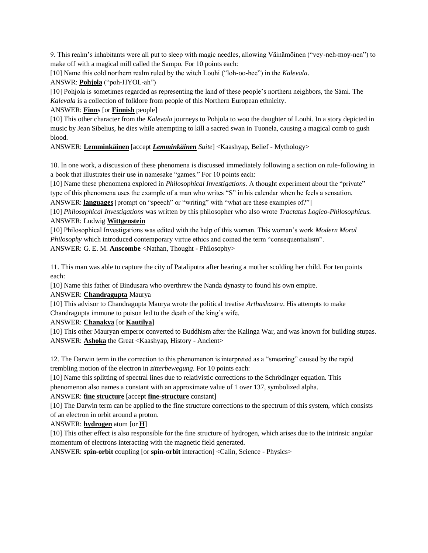9. This realm's inhabitants were all put to sleep with magic needles, allowing Väinämöinen ("vey-neh-moy-nen") to make off with a magical mill called the Sampo. For 10 points each:

[10] Name this cold northern realm ruled by the witch Louhi ("loh-oo-hee") in the *Kalevala*.

ANSWR: **Pohjola** ("poh-HYOL-ah")

[10] Pohjola is sometimes regarded as representing the land of these people's northern neighbors, the Sámi. The *Kalevala* is a collection of folklore from people of this Northern European ethnicity.

#### ANSWER: **Finn**s [or **Finnish** people]

[10] This other character from the *Kalevala* journeys to Pohjola to woo the daughter of Louhi. In a story depicted in music by Jean Sibelius, he dies while attempting to kill a sacred swan in Tuonela, causing a magical comb to gush blood.

#### ANSWER: **Lemminkäinen** [accept *Lemminkäinen Suite*] <Kaashyap, Belief - Mythology>

10. In one work, a discussion of these phenomena is discussed immediately following a section on rule-following in a book that illustrates their use in namesake "games." For 10 points each:

[10] Name these phenomena explored in *Philosophical Investigations*. A thought experiment about the "private" type of this phenomena uses the example of a man who writes "S" in his calendar when he feels a sensation.

ANSWER: **languages** [prompt on "speech" or "writing" with "what are these examples of?"]

[10] *Philosophical Investigations* was written by this philosopher who also wrote *Tractatus Logico-Philosophicus.*  ANSWER: Ludwig **Wittgenstein**

[10] Philosophical Investigations was edited with the help of this woman. This woman's work *Modern Moral Philosophy* which introduced contemporary virtue ethics and coined the term "consequentialism". ANSWER: G. E. M. **Anscombe** <Nathan, Thought - Philosophy>

11. This man was able to capture the city of Pataliputra after hearing a mother scolding her child. For ten points each:

[10] Name this father of Bindusara who overthrew the Nanda dynasty to found his own empire.

#### ANSWER: **Chandragupta** Maurya

[10] This advisor to Chandragupta Maurya wrote the political treatise *Arthashastra*. His attempts to make Chandragupta immune to poison led to the death of the king's wife.

ANSWER: **Chanakya** [or **Kautilya**]

[10] This other Mauryan emperor converted to Buddhism after the Kalinga War, and was known for building stupas. ANSWER: **Ashoka** the Great <Kaashyap, History - Ancient>

12. The Darwin term in the correction to this phenomenon is interpreted as a "smearing" caused by the rapid trembling motion of the electron in *zitterbewegung*. For 10 points each:

[10] Name this splitting of spectral lines due to relativistic corrections to the Schrödinger equation. This

phenomenon also names a constant with an approximate value of 1 over 137, symbolized alpha.

#### ANSWER: **fine structure** [accept **fine-structure** constant]

[10] The Darwin term can be applied to the fine structure corrections to the spectrum of this system, which consists of an electron in orbit around a proton.

#### ANSWER: **hydrogen** atom [or **H**]

[10] This other effect is also responsible for the fine structure of hydrogen, which arises due to the intrinsic angular momentum of electrons interacting with the magnetic field generated.

ANSWER: **spin-orbit** coupling [or **spin-orbit** interaction] <Calin, Science - Physics>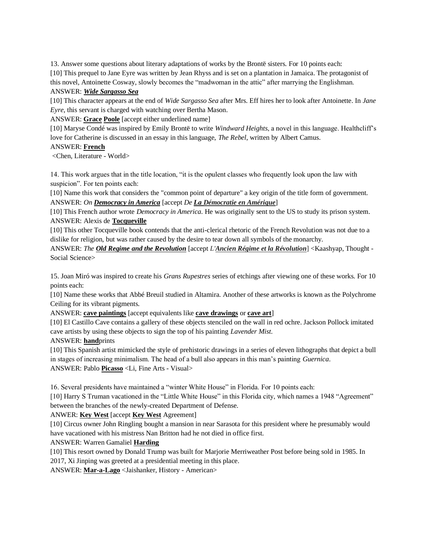13. Answer some questions about literary adaptations of works by the Brontë sisters. For 10 points each: [10] This prequel to Jane Eyre was written by Jean Rhyss and is set on a plantation in Jamaica. The protagonist of this novel, Antoinette Cosway, slowly becomes the "madwoman in the attic" after marrying the Englishman. ANSWER: *Wide Sargasso Sea*

[10] This character appears at the end of *Wide Sargasso Sea* after Mrs. Eff hires her to look after Antoinette. In *Jane Eyre*, this servant is charged with watching over Bertha Mason.

ANSWER: **Grace Poole** [accept either underlined name]

[10] Maryse Condé was inspired by Emily Brontë to write *Windward Heights*, a novel in this language. Healthcliff's love for Catherine is discussed in an essay in this language, *The Rebel*, written by Albert Camus.

#### ANSWER: **French**

<Chen, Literature - World>

14. This work argues that in the title location, "it is the opulent classes who frequently look upon the law with suspicion". For ten points each:

[10] Name this work that considers the "common point of departure" a key origin of the title form of government. ANSWER: *On Democracy in America* [accept *De La Démocratie en Amérique*]

[10] This French author wrote *Democracy in America*. He was originally sent to the US to study its prison system. ANSWER: Alexis de **Tocqueville**

[10] This other Tocqueville book contends that the anti-clerical rhetoric of the French Revolution was not due to a dislike for religion, but was rather caused by the desire to tear down all symbols of the monarchy.

ANSWER: *The Old Regime and the Revolution* [accept *L'Ancien Régime et la Révolution*] <Kaashyap, Thought - Social Science>

15. Joan Miró was inspired to create his *Grans Rupestres* series of etchings after viewing one of these works. For 10 points each:

[10] Name these works that Abbé Breuil studied in Altamira. Another of these artworks is known as the Polychrome Ceiling for its vibrant pigments.

ANSWER: **cave paintings** [accept equivalents like **cave drawings** or **cave art**]

[10] El Castillo Cave contains a gallery of these objects stenciled on the wall in red ochre. Jackson Pollock imitated cave artists by using these objects to sign the top of his painting *Lavender Mist*.

ANSWER: **hand**prints

[10] This Spanish artist mimicked the style of prehistoric drawings in a series of eleven lithographs that depict a bull in stages of increasing minimalism. The head of a bull also appears in this man's painting *Guernica*. ANSWER: Pablo **Picasso** <Li, Fine Arts - Visual>

16. Several presidents have maintained a "winter White House" in Florida. For 10 points each:

[10] Harry S Truman vacationed in the "Little White House" in this Florida city, which names a 1948 "Agreement" between the branches of the newly-created Department of Defense.

#### ANWER: **Key West** [accept **Key West** Agreement]

[10] Circus owner John Ringling bought a mansion in near Sarasota for this president where he presumably would have vacationed with his mistress Nan Britton had he not died in office first.

ANSWER: Warren Gamaliel **Harding**

[10] This resort owned by Donald Trump was built for Marjorie Merriweather Post before being sold in 1985. In 2017, Xi Jinping was greeted at a presidential meeting in this place.

ANSWER: **Mar-a-Lago** <Jaishanker, History - American>